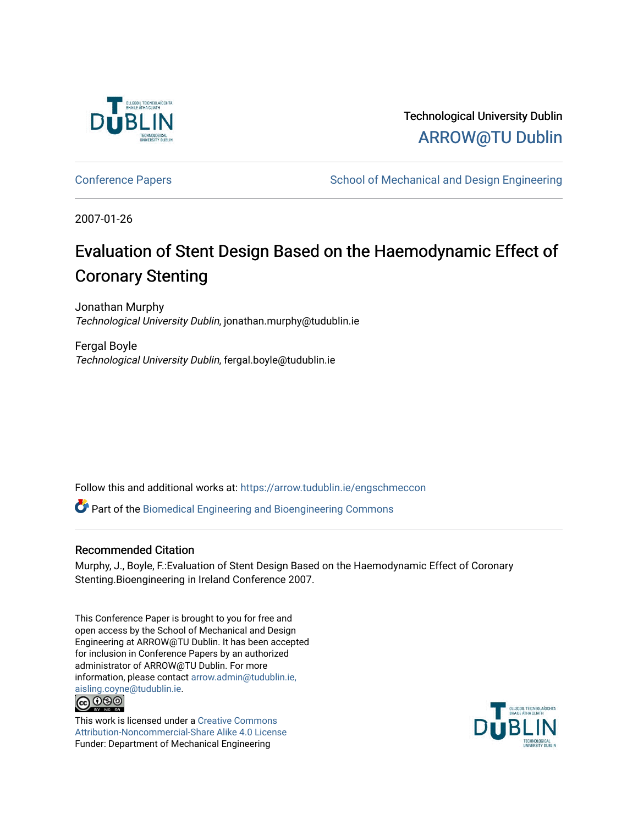

Technological University Dublin [ARROW@TU Dublin](https://arrow.tudublin.ie/) 

[Conference Papers](https://arrow.tudublin.ie/engschmeccon) **School of Mechanical and Design Engineering** School of Mechanical and Design Engineering

2007-01-26

# Evaluation of Stent Design Based on the Haemodynamic Effect of Coronary Stenting

Jonathan Murphy Technological University Dublin, jonathan.murphy@tudublin.ie

Fergal Boyle Technological University Dublin, fergal.boyle@tudublin.ie

Follow this and additional works at: [https://arrow.tudublin.ie/engschmeccon](https://arrow.tudublin.ie/engschmeccon?utm_source=arrow.tudublin.ie%2Fengschmeccon%2F27&utm_medium=PDF&utm_campaign=PDFCoverPages) 

Part of the [Biomedical Engineering and Bioengineering Commons](http://network.bepress.com/hgg/discipline/229?utm_source=arrow.tudublin.ie%2Fengschmeccon%2F27&utm_medium=PDF&utm_campaign=PDFCoverPages) 

## Recommended Citation

Murphy, J., Boyle, F.:Evaluation of Stent Design Based on the Haemodynamic Effect of Coronary Stenting.Bioengineering in Ireland Conference 2007.

This Conference Paper is brought to you for free and open access by the School of Mechanical and Design Engineering at ARROW@TU Dublin. It has been accepted for inclusion in Conference Papers by an authorized administrator of ARROW@TU Dublin. For more information, please contact [arrow.admin@tudublin.ie,](mailto:arrow.admin@tudublin.ie,%20aisling.coyne@tudublin.ie)  [aisling.coyne@tudublin.ie.](mailto:arrow.admin@tudublin.ie,%20aisling.coyne@tudublin.ie)



This work is licensed under a [Creative Commons](http://creativecommons.org/licenses/by-nc-sa/4.0/) [Attribution-Noncommercial-Share Alike 4.0 License](http://creativecommons.org/licenses/by-nc-sa/4.0/) Funder: Department of Mechanical Engineering